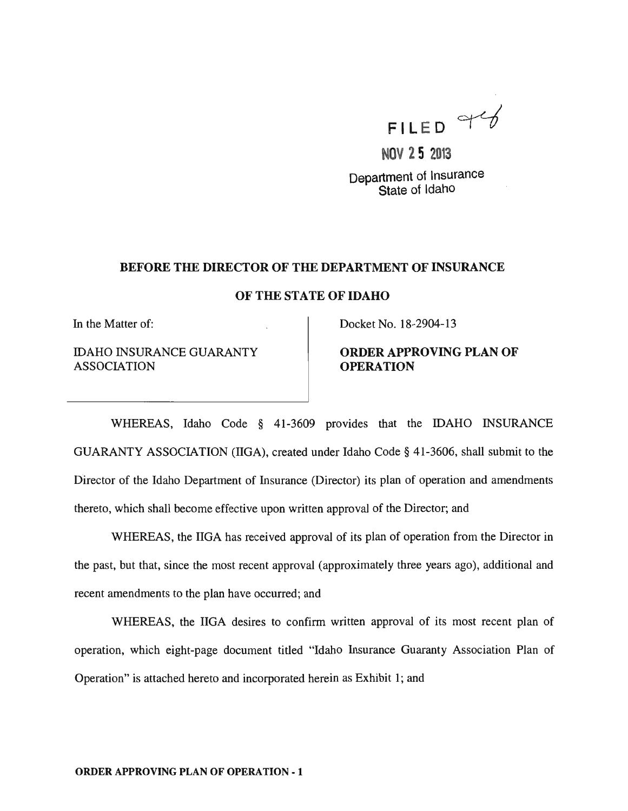

**NOV 25 2013**  Department of Insurance State of Idaho

#### BEFORE THE DIRECTOR OF THE DEPARTMENT OF INSURANCE

#### OF THE STATE OF IDAHO

In the Matter of:

IDAHO INSURANCE GUARANTY ASSOCIATION

Docket No. 18-2904-13

## ORDER APPROVING PLAN OF **OPERATION**

WHEREAS, Idaho Code § 41-3609 provides that the IDAHO INSURANCE GUARANTY ASSOCIATION (lIGA), created under Idaho Code § 41-3606, shall submit to the Director of the Idaho Department of Insurance (Director) its plan of operation and amendments thereto, which shall become effective upon written approval of the Director; and

WHEREAS, the IIGA has received approval of its plan of operation from the Director in the past, but that, since the most recent approval (approximately three years ago), additional and recent amendments to the plan have occurred; and

WHEREAS, the IIGA desires to confirm written approval of its most recent plan of operation, which eight-page document titled "Idaho Insurance Guaranty Association Plan of Operation" is attached hereto and incorporated herein as Exhibit 1; and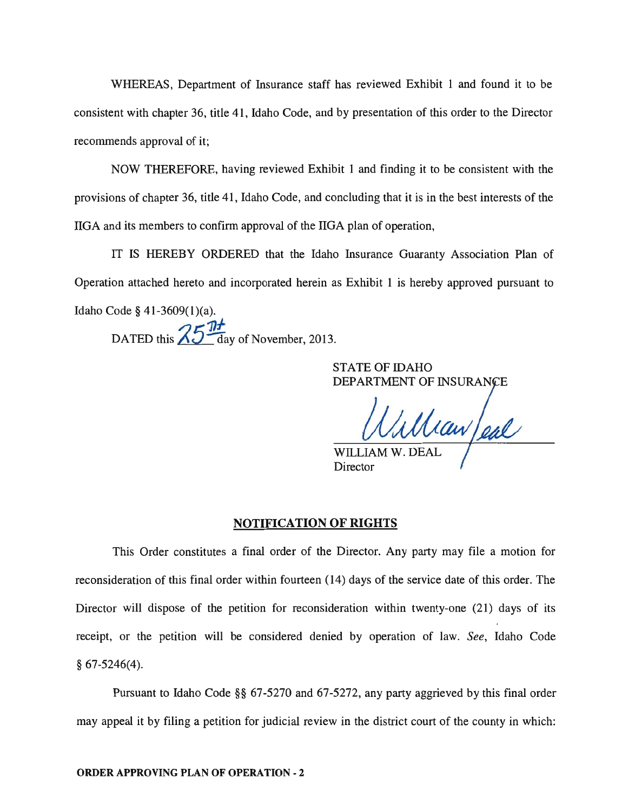WHEREAS, Department of Insurance staff has reviewed Exhibit 1 and found it to be consistent with chapter 36, title 41, Idaho Code, and by presentation of this order to the Director recommends approval of it;

NOW THEREFORE, having reviewed Exhibit 1 and finding it to be consistent with the provisions of chapter 36, title 41, Idaho Code, and concluding that it is in the best interests of the IIGA and its members to confirm approval of the IIGA plan of operation,

IT IS HEREBY ORDERED that the Idaho Insurance Guaranty Association Plan of Operation attached hereto and incorporated herein as Exhibit 1 is hereby approved pursuant to Idaho Code § 41-3609(1)(a).  $75$   $\overline{1}$ DATED this  $\Delta U$  day of November, 2013.

> STATE OF IDAHO DEPARTMENT OF INSURANCE

William eal

Director

#### **NOTIFICATION OF RIGHTS**

This Order constitutes a final order of the Director. Any party may file a motion for reconsideration of this final order within fourteen (14) days of the service date of this order. The Director will dispose of the petition for reconsideration within twenty-one (21) days of its receipt, or the petition will be considered denied by operation of law. *See,* Idaho Code § 67-5246(4).

Pursuant to Idaho Code §§ 67-5270 and 67-5272, any party aggrieved by this final order may appeal it by filing a petition for judicial review in the district court of the county in which: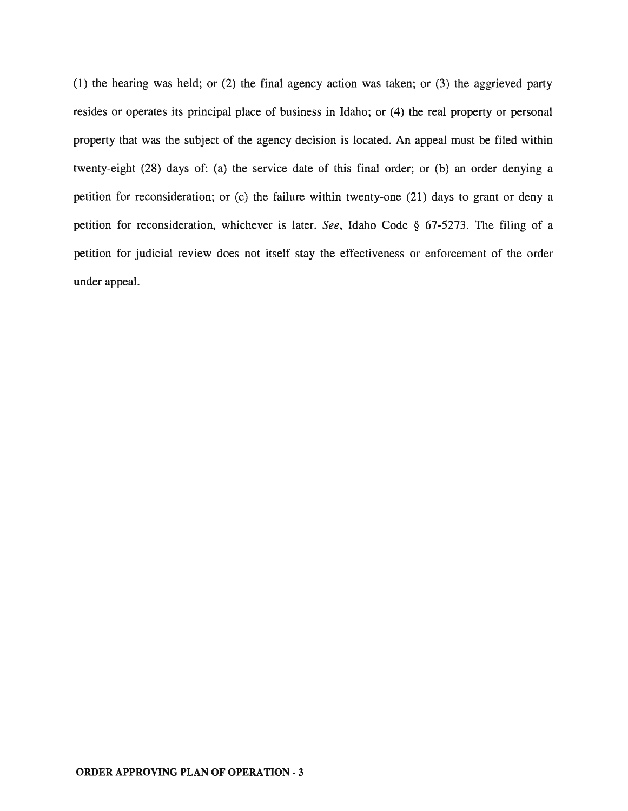(1) the hearing was held; or (2) the final agency action was taken; or (3) the aggrieved party resides or operates its principal place of business in Idaho; or (4) the real property or personal property that was the subject of the agency decision is located. An appeal must be filed within twenty-eight (28) days of: (a) the service date of this final order; or (b) an order denying a petition for reconsideration; or (c) the failure within twenty-one (21) days to grant or deny a petition for reconsideration, whichever is later. *See,* Idaho Code § 67-5273. The filing of a petition for judicial review does not itself stay the effectiveness or enforcement of the order under appeal.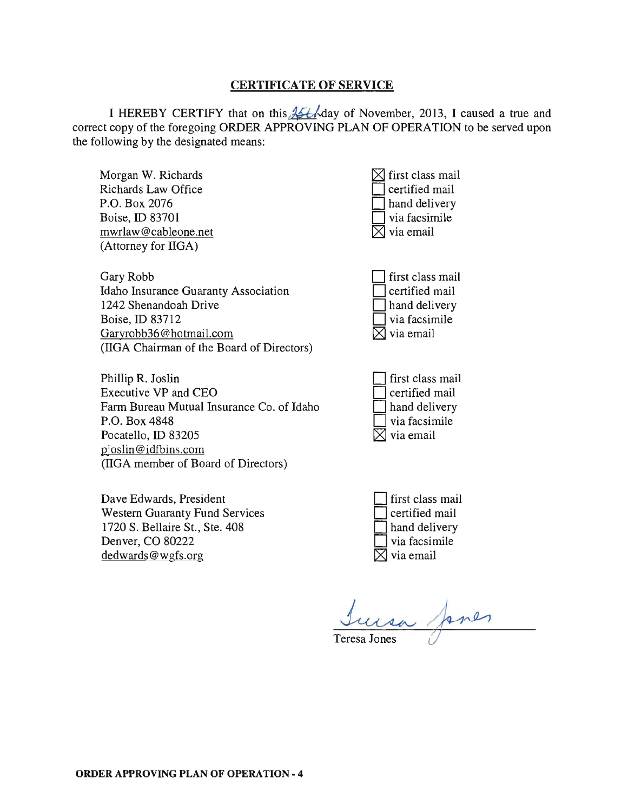## **CERTIFICATE OF SERVICE**

I HEREBY CERTIFY that on this  $\frac{1}{2}$ - $\frac{1}{2}$  day of November, 2013, I caused a true and correct copy of the foregoing ORDER APPROVING PLAN OF OPERATION to be served upon the following by the designated means:

| Morgan W. Richards<br>Richards Law Office<br>P.O. Box 2076<br>Boise, ID 83701<br>mwrlaw@cableone.net<br>(Attorney for IIGA)                                                                  | first class mail<br>certified mail<br>hand delivery<br>via facsimile<br>via email |
|----------------------------------------------------------------------------------------------------------------------------------------------------------------------------------------------|-----------------------------------------------------------------------------------|
| Gary Robb<br>Idaho Insurance Guaranty Association<br>1242 Shenandoah Drive<br>Boise, ID 83712<br>Garyrobb36@hotmail.com<br>(IIGA Chairman of the Board of Directors)                         | first class mail<br>certified mail<br>hand delivery<br>via facsimile<br>via email |
| Phillip R. Joslin<br>Executive VP and CEO<br>Farm Bureau Mutual Insurance Co. of Idaho<br>P.O. Box 4848<br>Pocatello, ID 83205<br>pjoslin@idfbins.com<br>(IIGA member of Board of Directors) | first class mail<br>certified mail<br>hand delivery<br>via facsimile<br>via email |
| Dave Edwards, President<br><b>Western Guaranty Fund Services</b><br>1720 S. Bellaire St., Ste. 408<br>Denver, CO 80222<br>dedwards@wgfs.org                                                  | first class mail<br>certified mail<br>hand delivery<br>via facsimile<br>via email |
|                                                                                                                                                                                              | Teresa Jones                                                                      |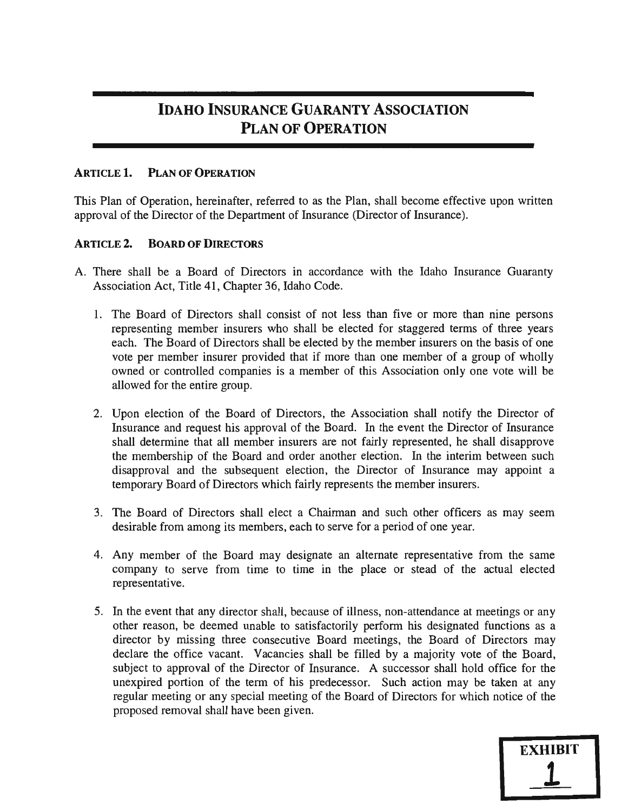# **IDAHO INSURANCE GUARANTY ASSOCIATION PLAN OF OPERATION**

## **ARTICLE 1. PLAN OF OPERATION**

This Plan of Operation, hereinafter, referred to as the Plan, shall become effective upon written approval of the Director of the Department of Insurance (Director of Insurance).

### **ARTICLE 2. BOARD OF DIRECTORS**

- A. There shall be a Board of Directors in accordance with the Idaho Insurance Guaranty Association Act, Title 41, Chapter 36, Idaho Code.
	- 1. The Board of Directors shall consist of not less than five or more than nine persons representing member insurers who shall be elected for staggered terms of three years each. The Board of Directors shall be elected by the member insurers on the basis of one vote per member insurer provided that if more than one member of a group of wholly owned or controlled companies is a member of this Association only one vote will be allowed for the entire group.
	- 2. Upon election of the Board of Directors, the Association shall notify the Director of Insurance and request his approval of the Board. In the event the Director of Insurance shall determine that all member insurers are not fairly represented, he shall disapprove the membership of the Board and order another election. In the interim between such disapproval and the subsequent election, the Director of Insurance may appoint a temporary Board of Directors which fairly represents the member insurers.
	- 3. The Board of Directors shall elect a Chairman and such other officers as may seem desirable from among its members, each to serve for a period of one year.
	- 4. Any member of the Board may designate an alternate representative from the same company to serve from time to time in the place or stead of the actual elected representative.
	- 5. In the event that any director shall, because of illness, non-attendance at meetings or any other reason, be deemed unable to satisfactorily perform his designated functions as a director by missing three consecutive Board meetings, the Board of Directors may declare the office vacant. Vacancies shall be filled by a majority vote of the Board, subject to approval of the Director of Insurance. A successor shall hold office for the unexpired portion of the term of his predecessor. Such action may be taken at any regular meeting or any special meeting of the Board of Directors for which notice of the proposed removal shall have been given.

**EXHIBIT** 

1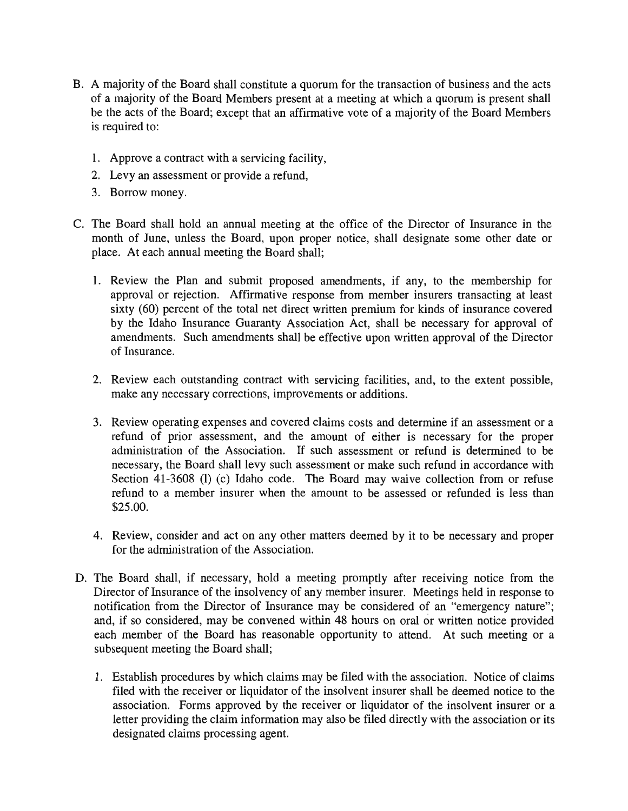- B. A majority of the Board shall constitute a quorum for the transaction of business and the acts of a majority of the Board Members present at a meeting at which a quorum is present shall be the acts of the Board; except that an affirmative vote of a majority of the Board Members is required to:
	- 1. Approve a contract with a servicing facility,
	- 2. Levy an assessment or provide a refund,
	- 3. Borrow money.
- C. The Board shall hold an annual meeting at the office of the Director of Insurance in the month of June, unless the Board, upon proper notice, shall designate some other date or place. At each annual meeting the Board shall;
	- 1. Review the Plan and submit proposed amendments, if any, to the membership for approval or rejection. Affirmative response from member insurers transacting at least sixty (60) percent of the total net direct written premium for kinds of insurance covered by the Idaho Insurance Guaranty Association Act, shall be necessary for approval of amendments. Such amendments shall be effective upon written approval of the Director of Insurance.
	- 2. Review each outstanding contract with servicing facilities, and, to the extent possible, make any necessary corrections, improvements or additions.
	- 3. Review operating expenses and covered claims costs and determine if an assessment or a refund of prior assessment, and the amount of either is necessary for the proper administration of the Association. If such assessment or refund is determined to be necessary, the Board shall levy such assessment or make such refund in accordance with Section 41-3608 (1) (c) Idaho code. The Board may waive collection from or refuse refund to a member insurer when the amount to be assessed or refunded is less than \$25.00.
	- 4. Review, consider and act on any other matters deemed by it to be necessary and proper for the administration of the Association.
- D. The Board shall, if necessary, hold a meeting promptly after receiving notice from the Director of Insurance of the insolvency of any member insurer. Meetings held in response to notification from the Director of Insurance may be considered of an "emergency nature"; and, if so considered, may be convened within 48 hours on oral or written notice provided each member of the Board has reasonable opportunity to attend. At such meeting or a subsequent meeting the Board shall;
	- 1. Establish procedures by which claims may be filed with the association. Notice of claims filed with the receiver or liquidator of the insolvent insurer shall be deemed notice to the association. Forms approved by the receiver or liquidator of the insolvent insurer or a letter providing the claim information may also be filed directly with the association or its designated claims processing agent.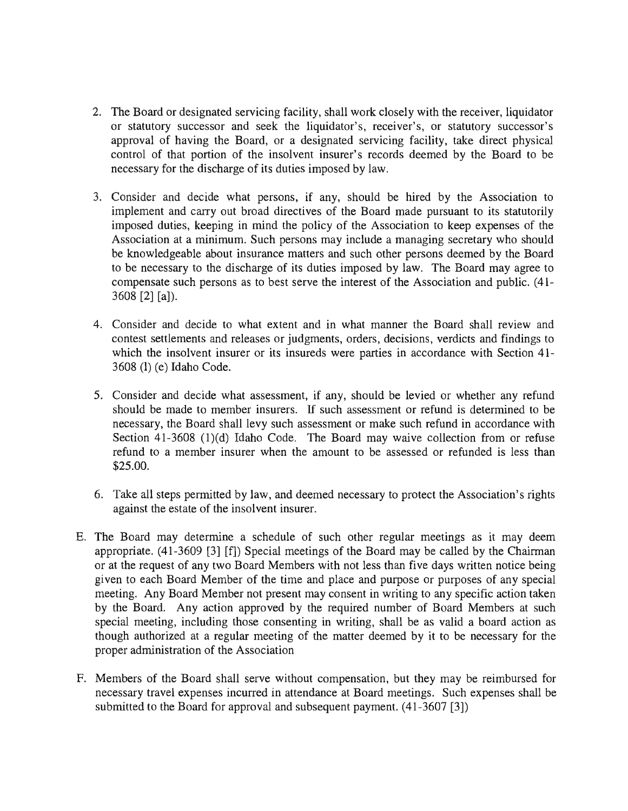- 2. The Board or designated servicing facility, shall work closely with the receiver, liquidator or statutory successor and seek the liquidator's, receiver's, or statutory successor's approval of having the Board, or a designated servicing facility, take direct physical control of that portion of the insolvent insurer's records deemed by the Board to be necessary for the discharge of its duties imposed by law.
- 3. Consider and decide what persons, if any, should be hired by the Association to implement and carry out broad directives of the Board made pursuant to its statutorily imposed duties, keeping in mind the policy of the Association to keep expenses of the Association at a minimum. Such persons may include a managing secretary who should be knowledgeable about insurance matters and such other persons deemed by the Board to be necessary to the discharge of its duties imposed by law. The Board may agree to compensate such persons as to best serve the interest of the Association and public. (41-  $3608$  [2] [a]).
- 4. Consider and decide to what extent and in what manner the Board shall review and contest settlements and releases or judgments, orders, decisions, verdicts and findings to which the insolvent insurer or its insureds were parties in accordance with Section 41-3608 (l) (e) Idaho Code.
- 5. Consider and decide what assessment, if any, should be levied or whether any refund should be made to member insurers. If such assessment or refund is determined to be necessary, the Board shall levy such assessment or make such refund in accordance with Section 41-3608 (1)(d) Idaho Code. The Board may waive collection from or refuse refund to a member insurer when the amount to be assessed or refunded is less than \$25.00.
- 6. Take all steps permitted by law, and deemed necessary to protect the Association's rights against the estate of the insolvent insurer.
- E. The Board may determine a schedule of such other regular meetings as it may deem appropriate. (41-3609 [3] [f]) Special meetings of the Board may be called by the Chairman or at the request of any two Board Members with not less than five days written notice being given to each Board Member of the time and place and purpose or purposes of any special meeting. Any Board Member not present may consent in writing to any specific action taken by the Board. Any action approved by the required number of Board Members at such special meeting, including those consenting in writing, shall be as valid a board action as though authorized at a regular meeting of the matter deemed by it to be necessary for the proper administration of the Association
- F. Members of the Board shall serve without compensation, but they may be reimbursed for necessary travel expenses incurred in attendance at Board meetings. Such expenses shall be submitted to the Board for approval and subsequent payment.  $(41-3607 \, [3])$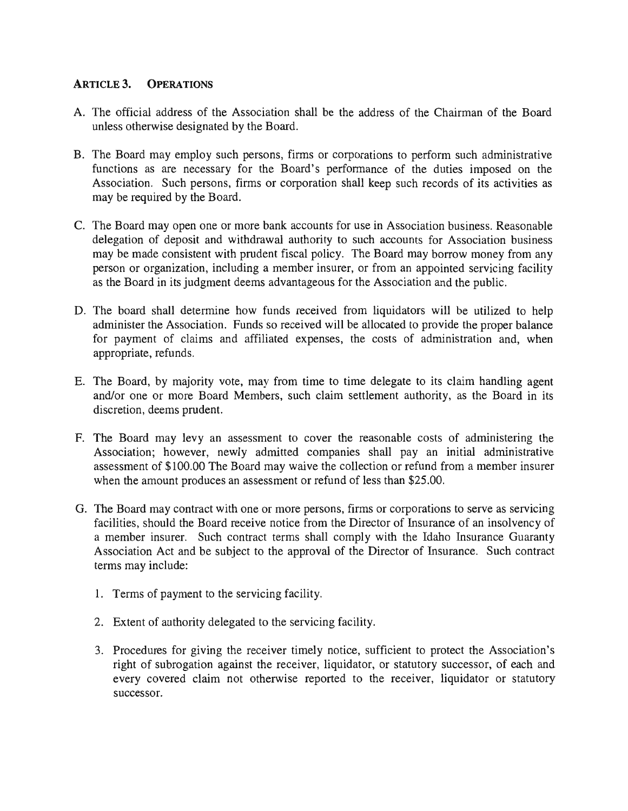## **ARTICLE 3. OPERATIONS**

- A. The official address of the Association shall be the address of the Chairman of the Board unless otherwise designated by the Board.
- B. The Board may employ such persons, firms or corporations to perform such administrative functions as are necessary for the Board's performance of the duties imposed on the Association. Such persons, firms or corporation shall keep such records of its activities as may be required by the Board.
- C. The Board may open one or more bank accounts for use in Association business. Reasonable delegation of deposit and withdrawal authority to such accounts for Association business may be made consistent with prudent fiscal policy. The Board may borrow money from any person or organization, including a member insurer, or from an appointed servicing facility as the Board in its judgment deems advantageous for the Association and the public.
- D. The board shall determine how funds received from liquidators will be utilized to help administer the Association. Funds so received will be allocated to provide the proper balance for payment of claims and affiliated expenses, the costs of administration and, when appropriate, refunds.
- E. The Board, by majority vote, may from time to time delegate to its claim handling agent and/or one or more Board Members, such claim settlement authority, as the Board in its discretion, deems prudent.
- F. The Board may levy an assessment to cover the reasonable costs of administering the Association; however, newly admitted companies shall pay an initial administrative assessment of \$100.00 The Board may waive the collection or refund from a member insurer when the amount produces an assessment or refund of less than \$25.00.
- G. The Board may contract with one or more persons, firms or corporations to serve as servicing facilities, should the Board receive notice from the Director of Insurance of an insolvency of a member insurer. Such contract terms shall comply with the Idaho Insurance Guaranty Association Act and be subject to the approval of the Director of Insurance. Such contract terms may include:
	- 1. Terms of payment to the servicing facility.
	- 2. Extent of authority delegated to the servicing facility.
	- 3. Procedures for giving the receiver timely notice, sufficient to protect the Association's right of subrogation against the receiver, liquidator, or statutory successor, of each and every covered claim not otherwise reported to the receiver, liquidator or statutory successor.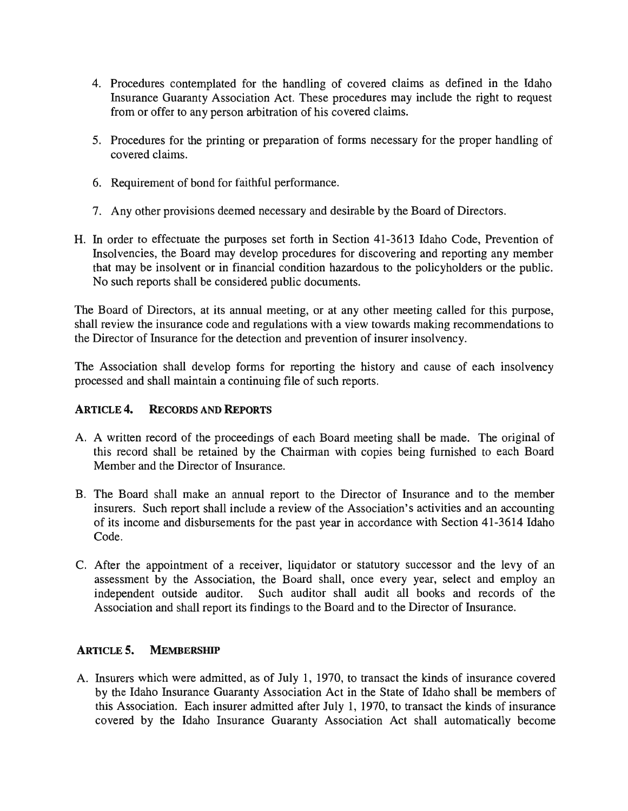- 4. Procedures contemplated for the handling of covered claims as defined in the Idaho Insurance Guaranty Association Act. These procedures may include the right to request from or offer to any person arbitration of his covered claims.
- 5. Procedures for the printing or preparation of forms necessary for the proper handling of covered claims.
- 6. Requirement of bond for faithful performance.
- 7. Any other provisions deemed necessary and desirable by the Board of Directors.
- H. In order to effectuate the purposes set forth in Section 41-3613 Idaho Code, Prevention of Insolvencies, the Board may develop procedures for discovering and reporting any member that may be insolvent or in financial condition hazardous to the policyholders or the public. No such reports shall be considered public documents.

The Board of Directors, at its annual meeting, or at any other meeting called for this purpose, shall review the insurance code and regulations with a view towards making recommendations to the Director of Insurance for the detection and prevention of insurer insolvency.

The Association shall develop forms for reporting the history and cause of each insolvency processed and shall maintain a continuing file of such reports.

# **ARTICLE 4. RECORDS AND REpORTS**

- A. A written record of the proceedings of each Board meeting shall be made. The original of this record shall be retained by the Chairman with copies being furnished to each Board Member and the Director of Insurance.
- B. The Board shall make an annual report to the Director of Insurance and to the member insurers. Such report shall include a review of the Association's activities and an accounting of its income and disbursements for the past year in accordance with Section 41-3614 Idaho Code.
- C. After the appointment of a receiver, liquidator or statutory successor and the levy of an assessment by the Association, the Board shall, once every year, select and employ an independent outside auditor. Such auditor shall audit all books and records of the Association and shall report its findings to the Board and to the Director of Insurance.

# **ARTICLE 5. MEMBERSHIP**

A. Insurers which were admitted, as of July 1, 1970, to transact the kinds of insurance covered by the Idaho Insurance Guaranty Association Act in the State of Idaho shall be members of this Association. Each insurer admitted after July 1, 1970, to transact the kinds of insurance covered by the Idaho Insurance Guaranty Association Act shall automatically become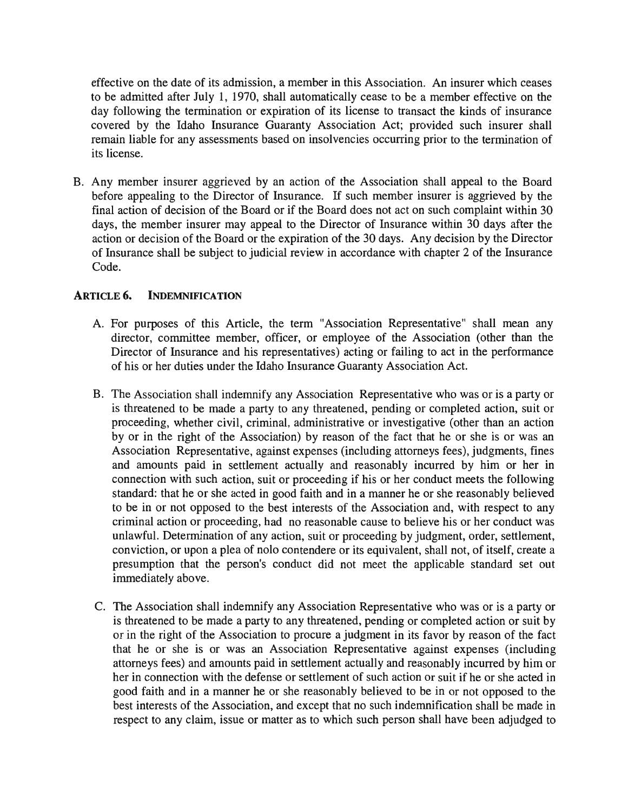effective on the date of its admission, a member in this Association. An insurer which ceases to be admitted after July 1, 1970, shall automatically cease to be a member effective on the day following the termination or expiration of its license to transact the kinds of insurance covered by the Idaho Insurance Guaranty Association Act; provided such insurer shall remain liable for any assessments based on insolvencies occurring prior to the termination of its license.

B. Any member insurer aggrieved by an action of the Association shall appeal to the Board before appealing to the Director of Insurance. If such member insurer is aggrieved by the final action of decision of the Board or if the Board does not act on such complaint within 30 days, the member insurer may appeal to the Director of Insurance within 30 days after the action or decision of the Board or the expiration of the 30 days. Any decision by the Director of Insurance shall be subject to judicial review in accordance with chapter 2 of the Insurance Code.

## **ARTICLE 6. INDEMNIFICATION**

- A. For purposes of this Article, the term "Association Representative" shall mean any director, committee member, officer, or employee of the Association (other than the Director of Insurance and his representatives) acting or failing to act in the performance of his or her duties under the Idaho Insurance Guaranty Association Act.
- B. The Association shall indemnify any Association Representative who was or is a party or is threatened to be made a party to any threatened, pending or completed action, suit or proceeding, whether civil, criminal, administrative or investigative (other than an action by or in the right of the Association) by reason of the fact that he or she is or was an Association Representative, against expenses (including attorneys fees), judgments, fines and amounts paid in settlement actually and reasonably incurred by him or her in connection with such action, suit or proceeding if his or her conduct meets the following standard: that he or she acted in good faith and in a manner he or she reasonably believed to be in or not opposed to the best interests of the Association and, with respect to any criminal action or proceeding, had no reasonable cause to believe his or her conduct was unlawful. Determination of any action, suit or proceeding by judgment, order, settlement, conviction, or upon a plea of nolo contendere or its equivalent, shall not, of itself, create a presumption that the person's conduct did not meet the applicable standard set out immediately above.
- C. The Association shall indemnify any Association Representative who was or is a party or is threatened to be made a party to any threatened, pending or completed action or suit by or in the right of the Association to procure a judgment in its favor by reason of the fact that he or she is or was an Association Representative against expenses (including attorneys fees) and amounts paid in settlement actually and reasonably incurred by him or her in connection with the defense or settlement of such action or suit if he or she acted in good faith and in a manner he or she reasonably believed to be in or not opposed to the best interests of the Association, and except that no such indemnification shall be made in respect to any claim, issue or matter as to which such person shall have been adjudged to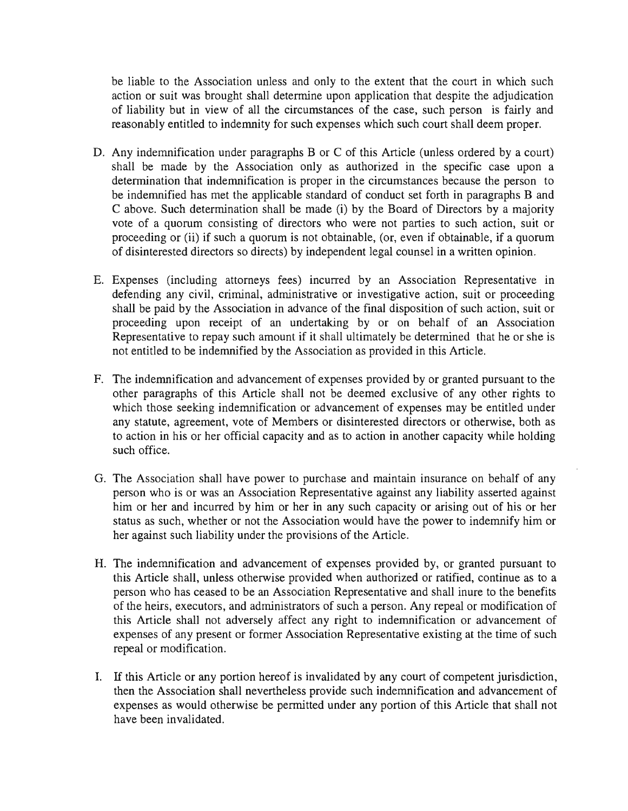be liable to the Association unless and only to the extent that the court in which such action or suit was brought shall determine upon application that despite the adjudication of liability but in view of all the circumstances of the case, such person is fairly and reasonably entitled to indemnity for such expenses which such court shall deem proper.

- D. Any indemnification under paragraphs  $B$  or  $C$  of this Article (unless ordered by a court) shall be made by the Association only as authorized in the specific case upon a determination that indemnification is proper in the circumstances because the person to be indemnified has met the applicable standard of conduct set forth in paragraphs B and C above. Such determination shall be made (i) by the Board of Directors by a majority vote of a quorum consisting of directors who were not parties to such action, suit or proceeding or (ii) if such a quorum is not obtainable, (or, even if obtainable, if a quorum of disinterested directors so directs) by independent legal counsel in a written opinion.
- E. Expenses (including attorneys fees) incurred by an Association Representative in defending any civil, criminal, administrative or investigative action, suit or proceeding shall be paid by the Association in advance of the final disposition of such action, suit or proceeding upon receipt of an undertaking by or on behalf of an Association Representative to repay such amount if it shall ultimately be determined that he or she is not entitled to be indemnified by the Association as provided in this Article.
- F. The indemnification and advancement of expenses provided by or granted pursuant to the other paragraphs of this Article shall not be deemed exclusive of any other rights to which those seeking indemnification or advancement of expenses may be entitled under any statute, agreement, vote of Members or disinterested directors or otherwise, both as to action in his or her official capacity and as to action in another capacity while holding such office.
- G. The Association shall have power to purchase and maintain insurance on behalf of any person who is or was an Association Representative against any liability asserted against him or her and incurred by him or her in any such capacity or arising out of his or her status as such, whether or not the Association would have the power to indemnify him or her against such liability under the provisions of the Article.
- H. The indemnification and advancement of expenses provided by, or granted pursuant to this Article shall, unless otherwise provided when authorized or ratified, continue as to a person who has ceased to be an Association Representative and shall inure to the benefits of the heirs, executors, and administrators of such a person. Any repeal or modification of this Article shall not adversely affect any right to indemnification or advancement of expenses of any present or former Association Representative existing at the time of such repeal or modification.
- I. If this Article or any portion hereof is invalidated by any court of competent jurisdiction, then the Association shall nevertheless provide such indemnification and advancement of expenses as would otherwise be permitted under any portion of this Article that shall not have been invalidated.